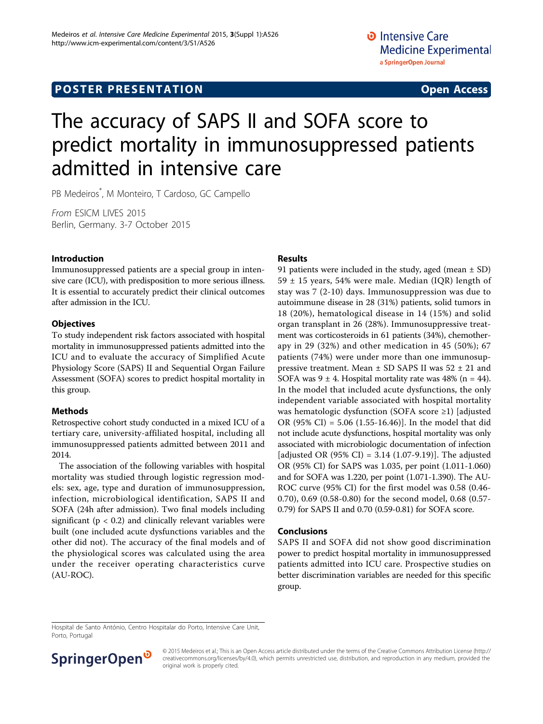# The accuracy of SAPS II and SOFA score to predict mortality in immunosuppressed patients admitted in intensive care

PB Medeiros\* , M Monteiro, T Cardoso, GC Campello

From ESICM LIVES 2015 Berlin, Germany. 3-7 October 2015

### Introduction

Immunosuppressed patients are a special group in intensive care (ICU), with predisposition to more serious illness. It is essential to accurately predict their clinical outcomes after admission in the ICU.

### **Objectives**

To study independent risk factors associated with hospital mortality in immunosuppressed patients admitted into the ICU and to evaluate the accuracy of Simplified Acute Physiology Score (SAPS) II and Sequential Organ Failure Assessment (SOFA) scores to predict hospital mortality in this group.

### Methods

Retrospective cohort study conducted in a mixed ICU of a tertiary care, university-affiliated hospital, including all immunosuppressed patients admitted between 2011 and 2014.

The association of the following variables with hospital mortality was studied through logistic regression models: sex, age, type and duration of immunosuppression, infection, microbiological identification, SAPS II and SOFA (24h after admission). Two final models including significant ( $p < 0.2$ ) and clinically relevant variables were built (one included acute dysfunctions variables and the other did not). The accuracy of the final models and of the physiological scores was calculated using the area under the receiver operating characteristics curve (AU-ROC).

## Results

91 patients were included in the study, aged (mean  $\pm$  SD) 59  $\pm$  15 years, 54% were male. Median (IQR) length of stay was 7 (2-10) days. Immunosuppression was due to autoimmune disease in 28 (31%) patients, solid tumors in 18 (20%), hematological disease in 14 (15%) and solid organ transplant in 26 (28%). Immunosuppressive treatment was corticosteroids in 61 patients (34%), chemotherapy in 29 (32%) and other medication in 45 (50%); 67 patients (74%) were under more than one immunosuppressive treatment. Mean  $\pm$  SD SAPS II was 52  $\pm$  21 and SOFA was  $9 \pm 4$ . Hospital mortality rate was 48% (n = 44). In the model that included acute dysfunctions, the only independent variable associated with hospital mortality was hematologic dysfunction (SOFA score ≥1) [adjusted OR (95% CI) = 5.06 (1.55-16.46)]. In the model that did not include acute dysfunctions, hospital mortality was only associated with microbiologic documentation of infection [adjusted OR (95% CI) = 3.14 (1.07-9.19)]. The adjusted OR (95% CI) for SAPS was 1.035, per point (1.011-1.060) and for SOFA was 1.220, per point (1.071-1.390). The AU-ROC curve (95% CI) for the first model was 0.58 (0.46- 0.70), 0.69 (0.58-0.80) for the second model, 0.68 (0.57- 0.79) for SAPS II and 0.70 (0.59-0.81) for SOFA score.

### Conclusions

SAPS II and SOFA did not show good discrimination power to predict hospital mortality in immunosuppressed patients admitted into ICU care. Prospective studies on better discrimination variables are needed for this specific group.

Hospital de Santo António, Centro Hospitalar do Porto, Intensive Care Unit, Porto, Portugal



© 2015 Medeiros et al.; This is an Open Access article distributed under the terms of the Creative Commons Attribution License [\(http://](http://creativecommons.org/licenses/by/4.0) [creativecommons.org/licenses/by/4.0](http://creativecommons.org/licenses/by/4.0)), which permits unrestricted use, distribution, and reproduction in any medium, provided the original work is properly cited.